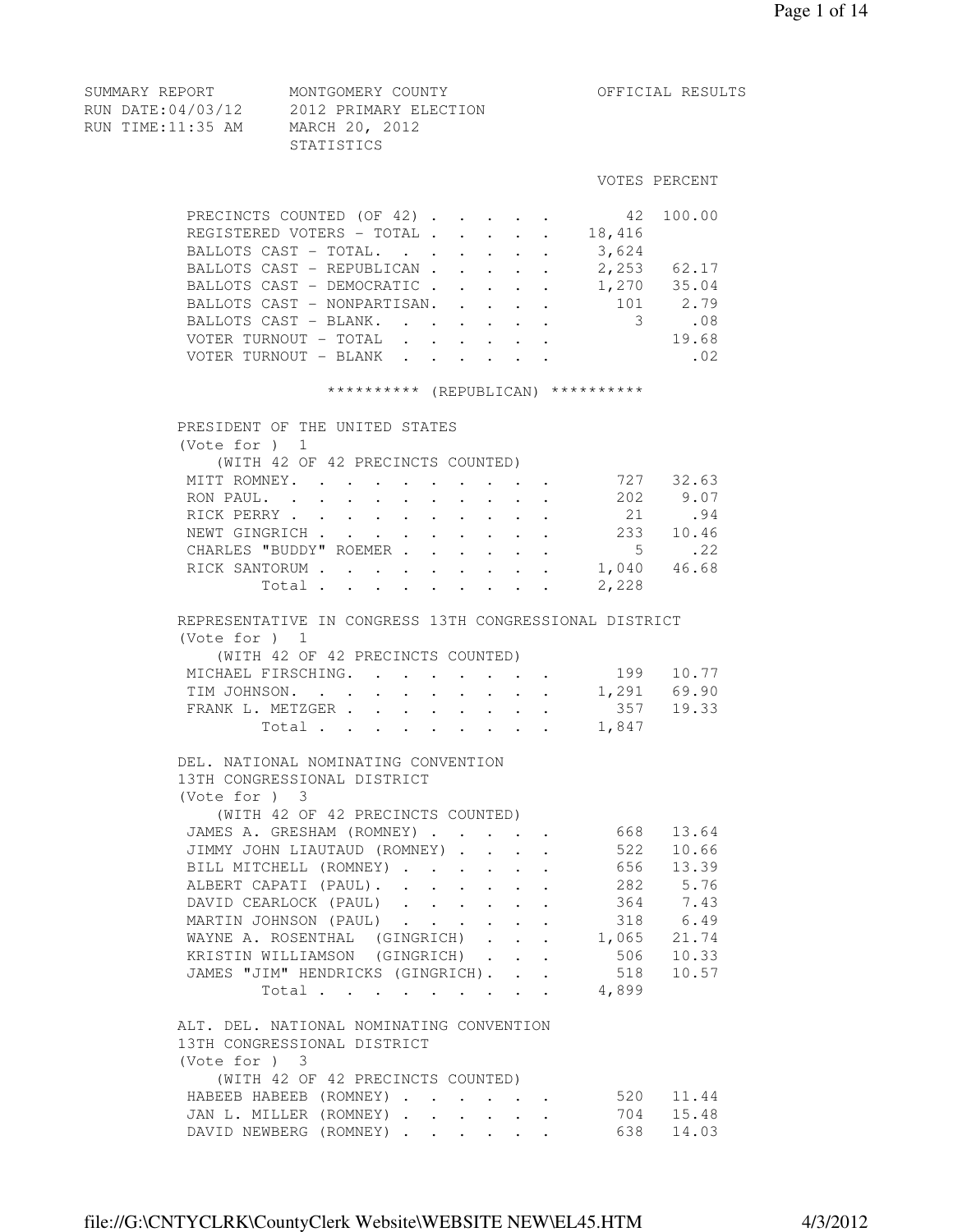RUN DATE:04/03/12 2012 PRIMARY ELECTION RUN TIME:11:35 AM MARCH 20, 2012 STATISTICS VOTES PERCENT PRECINCTS COUNTED (OF 42) . . . . . 42 100.00 REGISTERED VOTERS - TOTAL . . . . . 18,416 BALLOTS CAST - TOTAL. . . . . . . 3,624<br>BALLOTS CAST - REPUBLICAN . . . . . 2,253 62.17 BALLOTS CAST - REPUBLICAN . . . . . BALLOTS CAST - REPUBLICAN . . . . . 2,253 62.17<br>BALLOTS CAST - DEMOCRATIC . . . . . 1,270 35.04<br>BALLOTS CAST - NONPARTISAN. . . . . 101 2.79 BALLOTS CAST - NONPARTISAN. . . . . 101 2.79 BALLOTS CAST - BLANK. . . . . . . 3 .08 VOTER TURNOUT - TOTAL . . . . . . 19.68 VOTER TURNOUT - BLANK . . . . . . . 02 \*\*\*\*\*\*\*\*\*\* (REPUBLICAN) \*\*\*\*\*\*\*\*\*\* PRESIDENT OF THE UNITED STATES (Vote for ) 1 (WITH 42 OF 42 PRECINCTS COUNTED) MITT ROMNEY. . . . . . . . . . 727 32.63 RON PAUL. . . . . . . . . . 202 9.07 RICK PERRY . . . . . . . . . . 21 .94 NEWT GINGRICH . . . . . . . . . 233 10.46 CHARLES "BUDDY" ROEMER . . . . . . . 5 . 22<br>RICK SANTORUM . . . . . . . . . . 1,040 46.68 RICK SANTORUM . . . . . . . . . . 1,040<br>Total . . . . . . . . . 2,228 Total . . . . . . . . . REPRESENTATIVE IN CONGRESS 13TH CONGRESSIONAL DISTRICT (Vote for ) 1 (WITH 42 OF 42 PRECINCTS COUNTED) MICHAEL FIRSCHING. . . . . . . . 199 10.77<br>TIM JOHNSON. . . . . . . . . . 1,291 69.90<br>357 19.33 TIM JOHNSON. . . . . . . . . . FRANK L. METZGER . . . . . . . . . 357 19.33 Total . . . . . . . . 1,847 DEL. NATIONAL NOMINATING CONVENTION 13TH CONGRESSIONAL DISTRICT (Vote for ) 3 (WITH 42 OF 42 PRECINCTS COUNTED) JAMES A. GRESHAM (ROMNEY) . . . . . 668 13.64 JIMMY JOHN LIAUTAUD (ROMNEY) . . . . 522 10.66 BILL MITCHELL (ROMNEY) . . . . . . 656 13.39 ALBERT CAPATI (PAUL). . . . . . . 282 5.76 DAVID CEARLOCK (PAUL) . . . . . . 364 7.43 MARTIN JOHNSON (PAUL) . . . . . . 318 6.49 WAYNE A. ROSENTHAL (GINGRICH) . . . 1,065 21.74 KRISTIN WILLIAMSON (GINGRICH) . . . 506 10.33 JAMES "JIM" HENDRICKS (GINGRICH). . . 518 10.57 Total . . . . . . . . . 4,899 ALT. DEL. NATIONAL NOMINATING CONVENTION 13TH CONGRESSIONAL DISTRICT (Vote for ) 3 (WITH 42 OF 42 PRECINCTS COUNTED) HABEEB HABEEB (ROMNEY) . . . . . . 520 11.44

SUMMARY REPORT MONTGOMERY COUNTY THE OFFICIAL RESULTS

 JAN L. MILLER (ROMNEY) . . . . . . 704 15.48 DAVID NEWBERG (ROMNEY) . . . . . . 638 14.03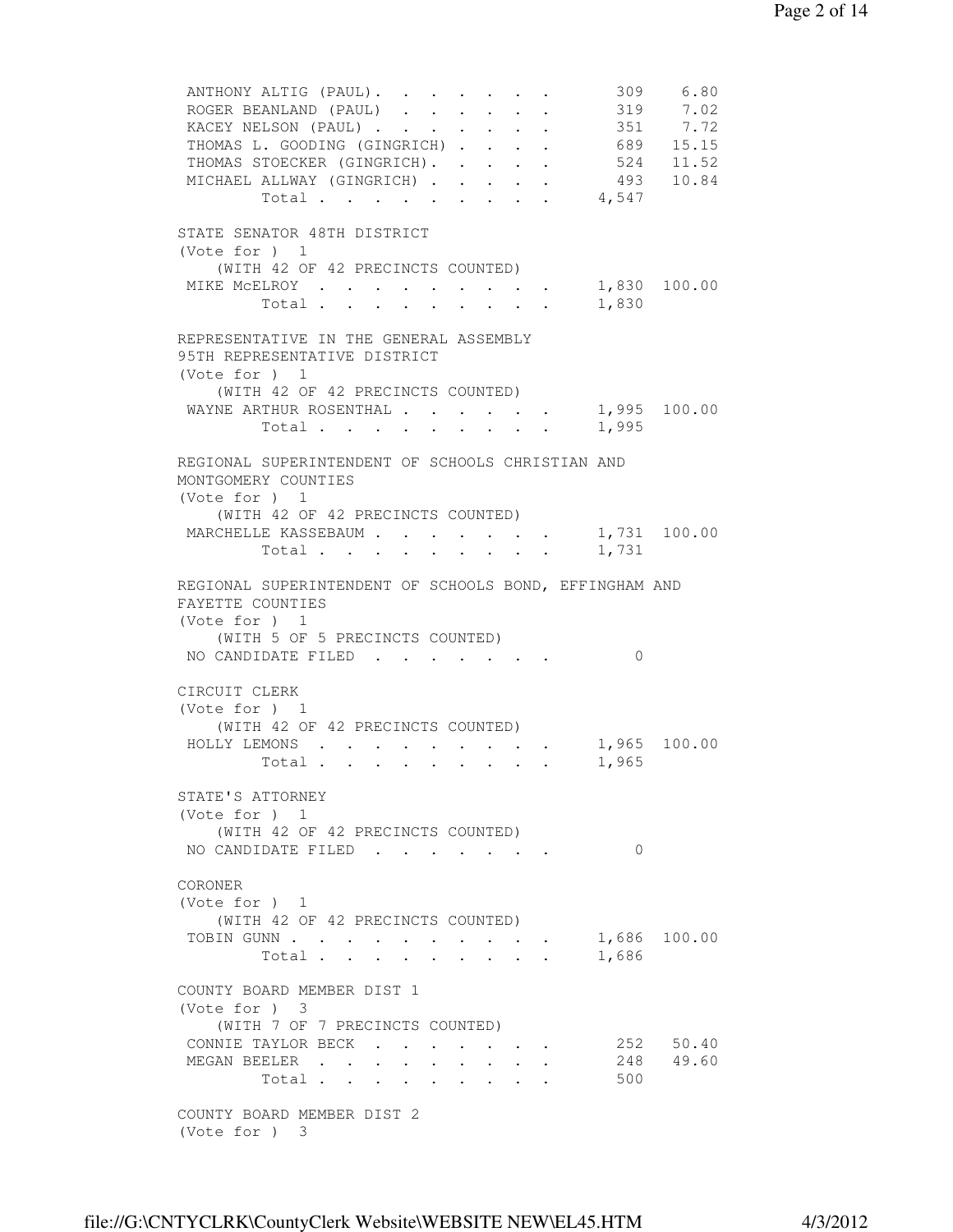ANTHONY ALTIG (PAUL). . . . . . . 309 6.80 ROGER BEANLAND (PAUL) . . . . . . 319 7.02<br>KACEY NELSON (PAUL) . . . . . . . 351 7.72 KACEY NELSON (PAUL) . . . . . . . 351 7.72 THOMAS L. GOODING (GINGRICH) . . . . 689 15.15 THOMAS STOECKER (GINGRICH). . . . . 524 11.52 MICHAEL ALLWAY (GINGRICH) . . . . . 493 10.84 Total . . . . . . . . . 4,547 STATE SENATOR 48TH DISTRICT (Vote for ) 1 (WITH 42 OF 42 PRECINCTS COUNTED) MIKE MCELROY . . . . . . . . . . 1,830 100.00<br>Total . . . . . . . . . 1,830 Total . . . . . . . . . REPRESENTATIVE IN THE GENERAL ASSEMBLY 95TH REPRESENTATIVE DISTRICT (Vote for ) 1 (WITH 42 OF 42 PRECINCTS COUNTED) WAYNE ARTHUR ROSENTHAL . . . . . . 1,995 100.00 Total . . . . . . . . . 1,995 REGIONAL SUPERINTENDENT OF SCHOOLS CHRISTIAN AND MONTGOMERY COUNTIES (Vote for ) 1 (WITH 42 OF 42 PRECINCTS COUNTED) MARCHELLE KASSEBAUM . . . . . . . 1,731 100.00 Total . . . . . . . . . 1,731 REGIONAL SUPERINTENDENT OF SCHOOLS BOND, EFFINGHAM AND FAYETTE COUNTIES (Vote for ) 1 (WITH 5 OF 5 PRECINCTS COUNTED) NO CANDIDATE FILED . . . . . . . 0 CIRCUIT CLERK (Vote for ) 1 (WITH 42 OF 42 PRECINCTS COUNTED) HOLLY LEMONS . . . . . . . . . 1,965 100.00<br>Total . . . . . . . . . 1,965 Total . . . . . . . . . STATE'S ATTORNEY (Vote for ) 1 (WITH 42 OF 42 PRECINCTS COUNTED) NO CANDIDATE FILED . . . . . . 0 CORONER (Vote for ) 1 (WITH 42 OF 42 PRECINCTS COUNTED) TOBIN GUNN . . . . . . . . . . . 1,686 100.00 Total . . . . . . . . . 1,686 COUNTY BOARD MEMBER DIST 1 (Vote for ) 3 (WITH 7 OF 7 PRECINCTS COUNTED) CONNIE TAYLOR BECK . . . . . . . 252 50.40 MEGAN BEELER . . . . . . . . . 248 49.60 Total . . . . . . . . . 500 COUNTY BOARD MEMBER DIST 2 (Vote for ) 3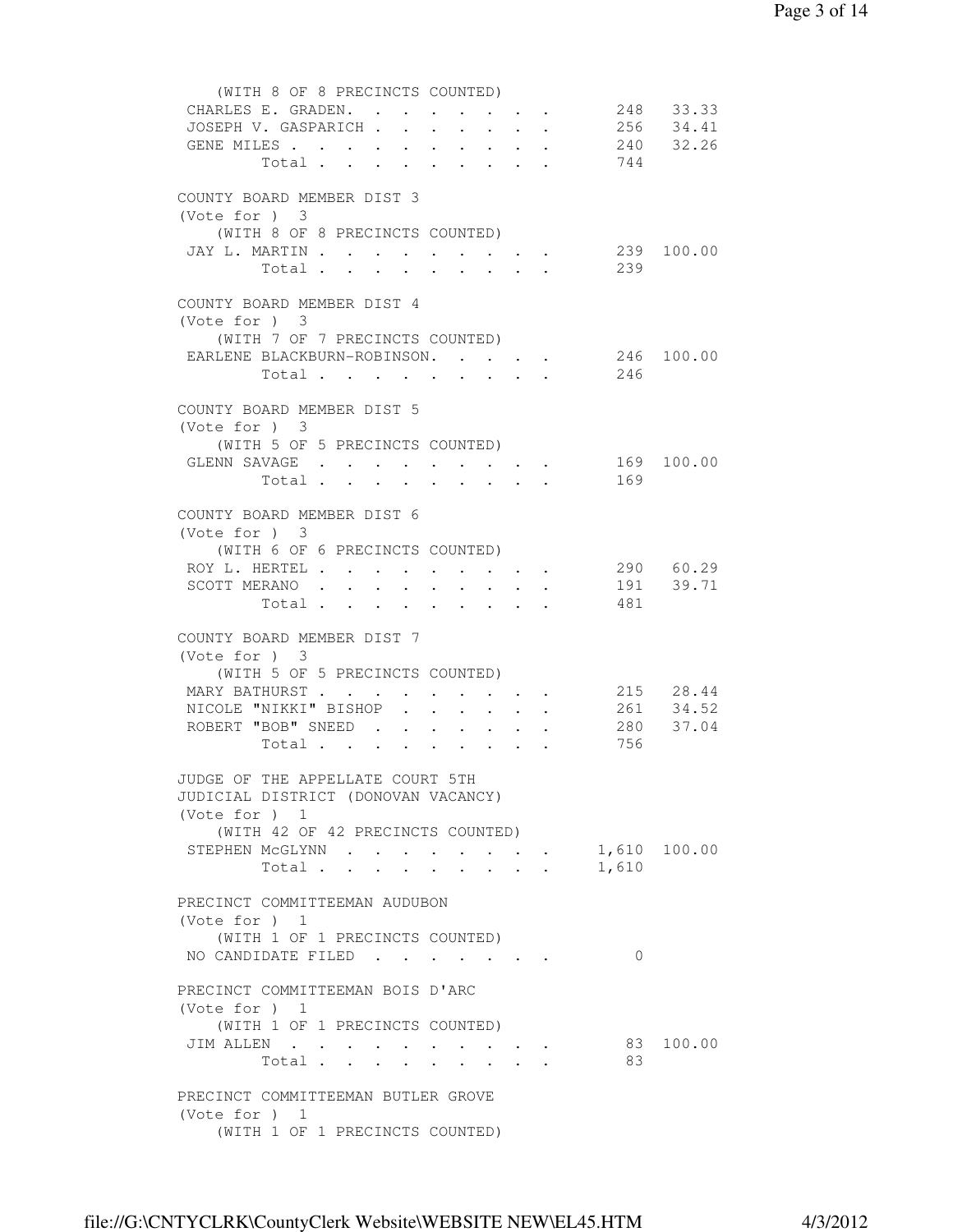| (WITH 8 OF 8 PRECINCTS COUNTED)               |            |                      |                                                                                       |        |                                                                          |              |                        |
|-----------------------------------------------|------------|----------------------|---------------------------------------------------------------------------------------|--------|--------------------------------------------------------------------------|--------------|------------------------|
| CHARLES E. GRADEN.                            |            |                      |                                                                                       |        |                                                                          |              | 248 33.33              |
| JOSEPH V. GASPARICH                           |            |                      |                                                                                       |        |                                                                          |              | 256 34.41              |
| GENE MILES 240 32.26                          |            |                      |                                                                                       |        |                                                                          |              |                        |
| Total 744                                     |            |                      |                                                                                       |        |                                                                          |              |                        |
|                                               |            |                      |                                                                                       |        |                                                                          |              |                        |
| COUNTY BOARD MEMBER DIST 3<br>(Vote for ) 3   |            |                      |                                                                                       |        |                                                                          |              |                        |
| (WITH 8 OF 8 PRECINCTS COUNTED)               |            |                      |                                                                                       |        |                                                                          |              |                        |
| JAY L. MARTIN                                 |            |                      |                                                                                       |        |                                                                          |              | 239 100.00             |
| Total.                                        |            |                      |                                                                                       |        | $\sim$ $\sim$                                                            | 239          |                        |
|                                               |            |                      |                                                                                       |        |                                                                          |              |                        |
| COUNTY BOARD MEMBER DIST 4                    |            |                      |                                                                                       |        |                                                                          |              |                        |
| (Vote for ) 3                                 |            |                      |                                                                                       |        |                                                                          |              |                        |
| (WITH 7 OF 7 PRECINCTS COUNTED)               |            |                      |                                                                                       |        |                                                                          |              |                        |
| EARLENE BLACKBURN-ROBINSON. 246 100.00        |            |                      |                                                                                       |        |                                                                          |              |                        |
| Total                                         |            |                      |                                                                                       |        |                                                                          | 246          |                        |
|                                               |            |                      |                                                                                       |        |                                                                          |              |                        |
| COUNTY BOARD MEMBER DIST 5                    |            |                      |                                                                                       |        |                                                                          |              |                        |
| (Note for ) 3                                 |            |                      |                                                                                       |        |                                                                          |              |                        |
| (WITH 5 OF 5 PRECINCTS COUNTED)               |            |                      |                                                                                       |        |                                                                          |              |                        |
| GLENN SAVAGE 169 100.00                       |            |                      |                                                                                       |        |                                                                          |              |                        |
|                                               |            |                      |                                                                                       |        |                                                                          | 169          |                        |
|                                               |            |                      |                                                                                       |        |                                                                          |              |                        |
| COUNTY BOARD MEMBER DIST 6                    |            |                      |                                                                                       |        |                                                                          |              |                        |
| (Note for ) 3                                 |            |                      |                                                                                       |        |                                                                          |              |                        |
| (WITH 6 OF 6 PRECINCTS COUNTED)               |            |                      |                                                                                       |        |                                                                          |              | 290 60.29              |
| ROY L. HERTEL                                 |            |                      | $\mathcal{A}=\mathcal{A}=\mathcal{A}=\mathcal{A}=\mathcal{A}=\mathcal{A}=\mathcal{A}$ |        |                                                                          |              | 191 39.71              |
| SCOTT MERANO                                  |            |                      |                                                                                       |        | $\sim$                                                                   | 481          |                        |
| Total                                         |            |                      |                                                                                       |        |                                                                          |              |                        |
| COUNTY BOARD MEMBER DIST 7                    |            |                      |                                                                                       |        |                                                                          |              |                        |
| (Vote for ) 3                                 |            |                      |                                                                                       |        |                                                                          |              |                        |
| (WITH 5 OF 5 PRECINCTS COUNTED)               |            |                      |                                                                                       |        |                                                                          |              |                        |
| MARY BATHURST                                 |            |                      | $\cdot$ $\cdot$ $\cdot$ $\cdot$ $\cdot$ $\cdot$                                       |        |                                                                          |              |                        |
| NICOLE "NIKKI" BISHOP<br>$\ddot{\phantom{0}}$ | $\sim$     | $\ddot{\phantom{0}}$ | $\ddot{\phantom{0}}$                                                                  | $\sim$ |                                                                          |              | 215 28.44<br>261 34.52 |
| ROBERT "BOB" SNEED                            |            | $\sim$               | $\sim$ $-$                                                                            |        | $\cdot$ $\cdot$                                                          |              | 280 37.04              |
| Total                                         |            |                      |                                                                                       |        |                                                                          | 756          |                        |
|                                               |            |                      |                                                                                       |        |                                                                          |              |                        |
| JUDGE OF THE APPELLATE COURT 5TH              |            |                      |                                                                                       |        |                                                                          |              |                        |
| JUDICIAL DISTRICT (DONOVAN VACANCY)           |            |                      |                                                                                       |        |                                                                          |              |                        |
| (Vote for $)$ 1                               |            |                      |                                                                                       |        |                                                                          |              |                        |
| (WITH 42 OF 42 PRECINCTS COUNTED)             |            |                      |                                                                                       |        |                                                                          |              |                        |
| STEPHEN MCGLYNN                               |            |                      |                                                                                       |        |                                                                          | 1,610 100.00 |                        |
| Total                                         | $\sim$ $-$ |                      |                                                                                       |        | $\mathbf{r} = \mathbf{r} + \mathbf{r}$ , where $\mathbf{r} = \mathbf{r}$ | 1,610        |                        |
|                                               |            |                      |                                                                                       |        |                                                                          |              |                        |
| PRECINCT COMMITTEEMAN AUDUBON                 |            |                      |                                                                                       |        |                                                                          |              |                        |
| (Vote for $)$ 1                               |            |                      |                                                                                       |        |                                                                          |              |                        |
| (WITH 1 OF 1 PRECINCTS COUNTED)               |            |                      |                                                                                       |        |                                                                          |              |                        |
| NO CANDIDATE FILED                            |            |                      |                                                                                       |        |                                                                          | $\Omega$     |                        |
| PRECINCT COMMITTEEMAN BOIS D'ARC              |            |                      |                                                                                       |        |                                                                          |              |                        |
|                                               |            |                      |                                                                                       |        |                                                                          |              |                        |
| (Vote for $)$ 1                               |            |                      |                                                                                       |        |                                                                          |              |                        |
| (WITH 1 OF 1 PRECINCTS COUNTED)<br>JIM ALLEN  |            |                      |                                                                                       |        |                                                                          |              | 83 100.00              |
| Total                                         |            |                      |                                                                                       |        |                                                                          | 83           |                        |
|                                               |            |                      |                                                                                       |        |                                                                          |              |                        |
| PRECINCT COMMITTEEMAN BUTLER GROVE            |            |                      |                                                                                       |        |                                                                          |              |                        |
| (Vote for $)$ 1                               |            |                      |                                                                                       |        |                                                                          |              |                        |
| (WITH 1 OF 1 PRECINCTS COUNTED)               |            |                      |                                                                                       |        |                                                                          |              |                        |
|                                               |            |                      |                                                                                       |        |                                                                          |              |                        |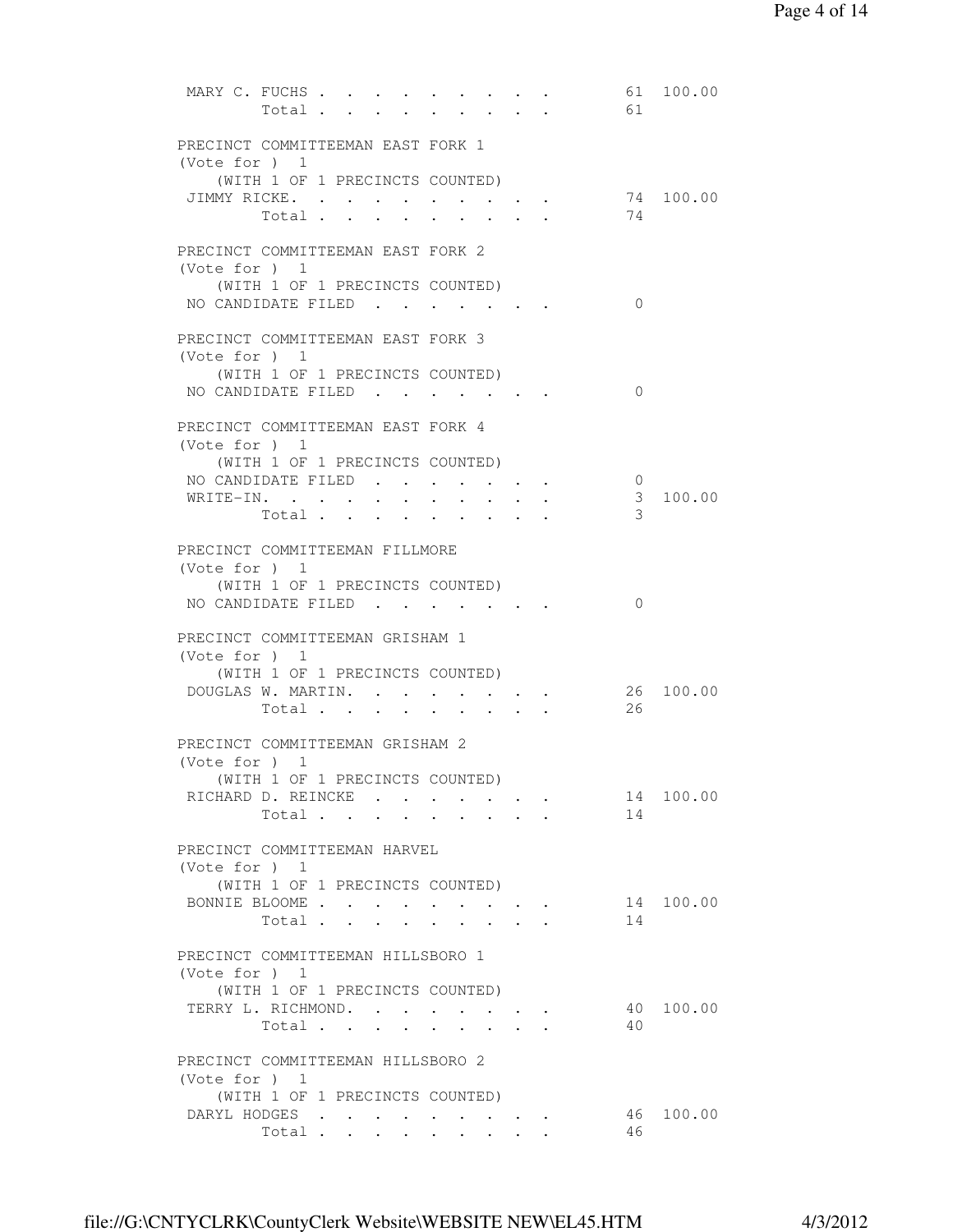| MARY C. FUCHS<br>100.00<br>61<br>61<br>Total                                                                                                                                                                                                                                                               |
|------------------------------------------------------------------------------------------------------------------------------------------------------------------------------------------------------------------------------------------------------------------------------------------------------------|
| PRECINCT COMMITTEEMAN EAST FORK 1<br>(Vote for ) 1                                                                                                                                                                                                                                                         |
| (WITH 1 OF 1 PRECINCTS COUNTED)                                                                                                                                                                                                                                                                            |
| JIMMY RICKE.<br>74 100.00<br>the contract of the contract of the contract of the contract of the contract of the contract of the contract of                                                                                                                                                               |
| 74<br>Total<br>$\cdot$ $\cdot$ $\cdot$ $\cdot$                                                                                                                                                                                                                                                             |
| PRECINCT COMMITTEEMAN EAST FORK 2                                                                                                                                                                                                                                                                          |
| (Vote for ) 1                                                                                                                                                                                                                                                                                              |
| (WITH 1 OF 1 PRECINCTS COUNTED)                                                                                                                                                                                                                                                                            |
| NO CANDIDATE FILED<br>$\Omega$                                                                                                                                                                                                                                                                             |
| PRECINCT COMMITTEEMAN EAST FORK 3                                                                                                                                                                                                                                                                          |
| (Vote for $)$ 1                                                                                                                                                                                                                                                                                            |
| (WITH 1 OF 1 PRECINCTS COUNTED)                                                                                                                                                                                                                                                                            |
| NO CANDIDATE FILED<br>0                                                                                                                                                                                                                                                                                    |
|                                                                                                                                                                                                                                                                                                            |
| PRECINCT COMMITTEEMAN EAST FORK 4                                                                                                                                                                                                                                                                          |
| (Vote for $)$ 1<br>(WITH 1 OF 1 PRECINCTS COUNTED)                                                                                                                                                                                                                                                         |
| NO CANDIDATE FILED<br>$\mathbf 0$                                                                                                                                                                                                                                                                          |
| 3<br>100.00<br>WRITE-IN.                                                                                                                                                                                                                                                                                   |
| 3<br>Total                                                                                                                                                                                                                                                                                                 |
| PRECINCT COMMITTEEMAN FILLMORE                                                                                                                                                                                                                                                                             |
| (Vote for $)$ 1                                                                                                                                                                                                                                                                                            |
| (WITH 1 OF 1 PRECINCTS COUNTED)                                                                                                                                                                                                                                                                            |
| NO CANDIDATE FILED<br>$\mathbf{0}$                                                                                                                                                                                                                                                                         |
|                                                                                                                                                                                                                                                                                                            |
| PRECINCT COMMITTEEMAN GRISHAM 1<br>(Vote for $)$ 1                                                                                                                                                                                                                                                         |
| (WITH 1 OF 1 PRECINCTS COUNTED)                                                                                                                                                                                                                                                                            |
| 26 100.00<br>DOUGLAS W. MARTIN.                                                                                                                                                                                                                                                                            |
| 26<br>Total<br>$\mathbf{r} = \mathbf{r} + \mathbf{r} + \mathbf{r}$ .<br>$\bullet$ . In the case of the contract of the contract of the contract of the contract of the contract of the contract of the contract of the contract of the contract of the contract of the contract of the contract of the con |
| PRECINCT COMMITTEEMAN GRISHAM 2                                                                                                                                                                                                                                                                            |
| (Vote for $)$ 1                                                                                                                                                                                                                                                                                            |
| (WITH 1 OF 1 PRECINCTS COUNTED)                                                                                                                                                                                                                                                                            |
| 100.00<br>RICHARD D. REINCKE<br>14                                                                                                                                                                                                                                                                         |
| 14<br>Total                                                                                                                                                                                                                                                                                                |
| PRECINCT COMMITTEEMAN HARVEL                                                                                                                                                                                                                                                                               |
| (Vote for $)$ 1                                                                                                                                                                                                                                                                                            |
| (WITH 1 OF 1 PRECINCTS COUNTED)                                                                                                                                                                                                                                                                            |
| BONNIE BLOOME<br>14 100.00                                                                                                                                                                                                                                                                                 |
| Total<br>14                                                                                                                                                                                                                                                                                                |
| PRECINCT COMMITTEEMAN HILLSBORO 1                                                                                                                                                                                                                                                                          |
| (Vote for ) 1                                                                                                                                                                                                                                                                                              |
| (WITH 1 OF 1 PRECINCTS COUNTED)                                                                                                                                                                                                                                                                            |
| TERRY L. RICHMOND.<br>40 100.00                                                                                                                                                                                                                                                                            |
| Total<br>40<br>$\sim$<br>$\sim$<br>$\ddot{\phantom{a}}$                                                                                                                                                                                                                                                    |
| PRECINCT COMMITTEEMAN HILLSBORO 2                                                                                                                                                                                                                                                                          |
| (Vote for $)$ 1                                                                                                                                                                                                                                                                                            |
| (WITH 1 OF 1 PRECINCTS COUNTED)                                                                                                                                                                                                                                                                            |
| DARYL HODGES<br>46<br>100.00                                                                                                                                                                                                                                                                               |
| 46<br>Total                                                                                                                                                                                                                                                                                                |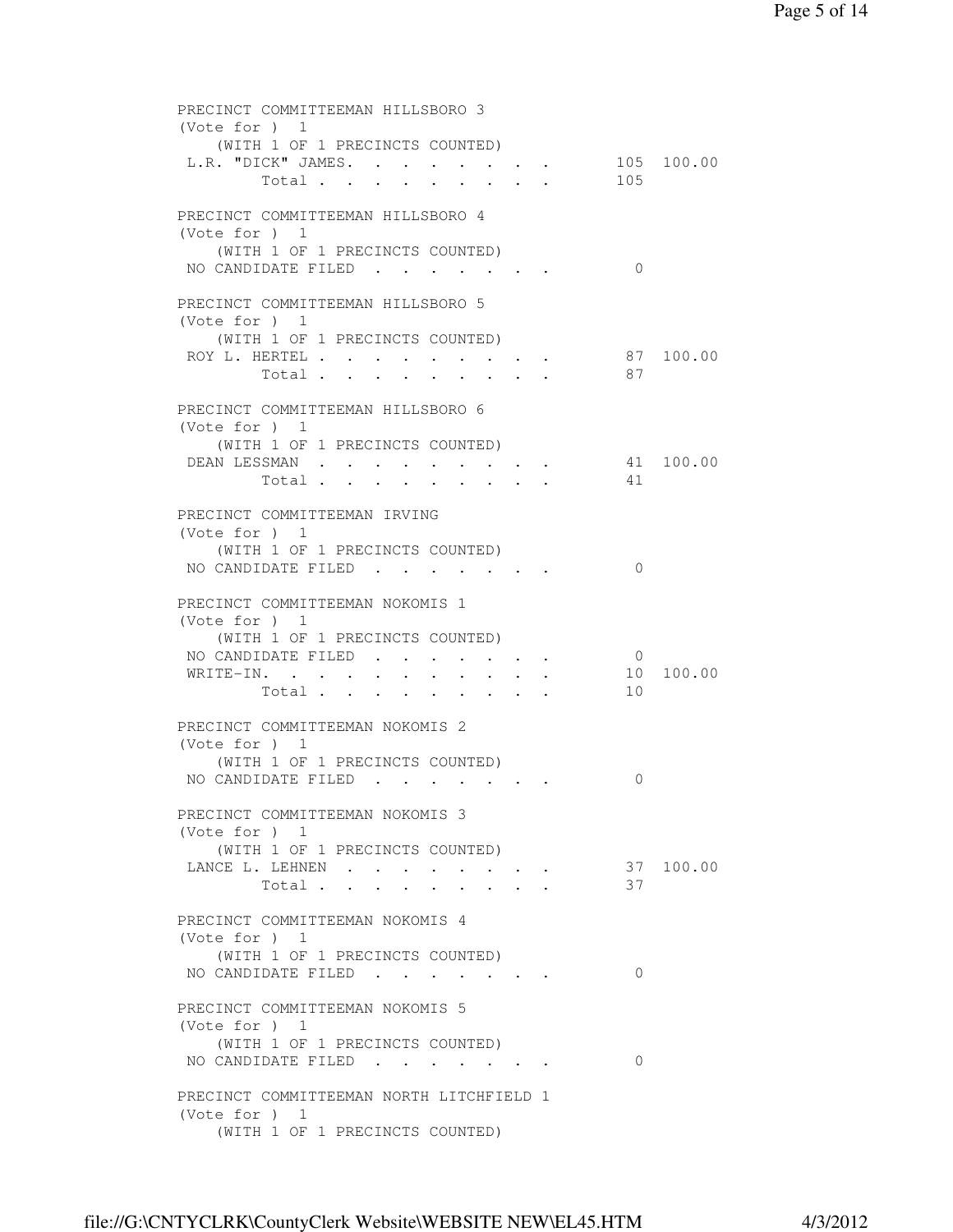```
 PRECINCT COMMITTEEMAN HILLSBORO 3 
 (Vote for ) 1 
    (WITH 1 OF 1 PRECINCTS COUNTED) 
 L.R. "DICK" JAMES. . . . . . . . 105 100.00
       Total . . . . . . . . . 105
 PRECINCT COMMITTEEMAN HILLSBORO 4 
 (Vote for ) 1 
    (WITH 1 OF 1 PRECINCTS COUNTED) 
NO CANDIDATE FILED . . . . . . . 0
 PRECINCT COMMITTEEMAN HILLSBORO 5 
 (Vote for ) 1 
    (WITH 1 OF 1 PRECINCTS COUNTED) 
 ROY L. HERTEL . . . . . . . . . 87 100.00
       Total . . . . . . . . 87
 PRECINCT COMMITTEEMAN HILLSBORO 6 
 (Vote for ) 1 
    (WITH 1 OF 1 PRECINCTS COUNTED) 
 DEAN LESSMAN . . . . . . . . . . 41 100.00
      Total . . . . . . . . . 41
 PRECINCT COMMITTEEMAN IRVING 
 (Vote for ) 1 
    (WITH 1 OF 1 PRECINCTS COUNTED) 
NO CANDIDATE FILED . . . . . . . 0
 PRECINCT COMMITTEEMAN NOKOMIS 1 
 (Vote for ) 1 
    (WITH 1 OF 1 PRECINCTS COUNTED) 
NO CANDIDATE FILED . . . . . . . 0
 WRITE-IN. . . . . . . . . . . 10 100.00
       Total . . . . . . . . . 10
 PRECINCT COMMITTEEMAN NOKOMIS 2 
 (Vote for ) 1 
    (WITH 1 OF 1 PRECINCTS COUNTED) 
NO CANDIDATE FILED . . . . . . . 0
 PRECINCT COMMITTEEMAN NOKOMIS 3 
 (Vote for ) 1 
    (WITH 1 OF 1 PRECINCTS COUNTED) 
LANCE L. LEHNEN . . . . . . . . 37 100.00
       Total . . . . . . . . . 37
 PRECINCT COMMITTEEMAN NOKOMIS 4 
 (Vote for ) 1 
   (WITH 1 OF 1 PRECINCTS COUNTED) 
NO CANDIDATE FILED . . . . . . . 0
 PRECINCT COMMITTEEMAN NOKOMIS 5 
 (Vote for ) 1 
    (WITH 1 OF 1 PRECINCTS COUNTED) 
NO CANDIDATE FILED . . . . . . . 0
 PRECINCT COMMITTEEMAN NORTH LITCHFIELD 1 
 (Vote for ) 1 
    (WITH 1 OF 1 PRECINCTS COUNTED)
```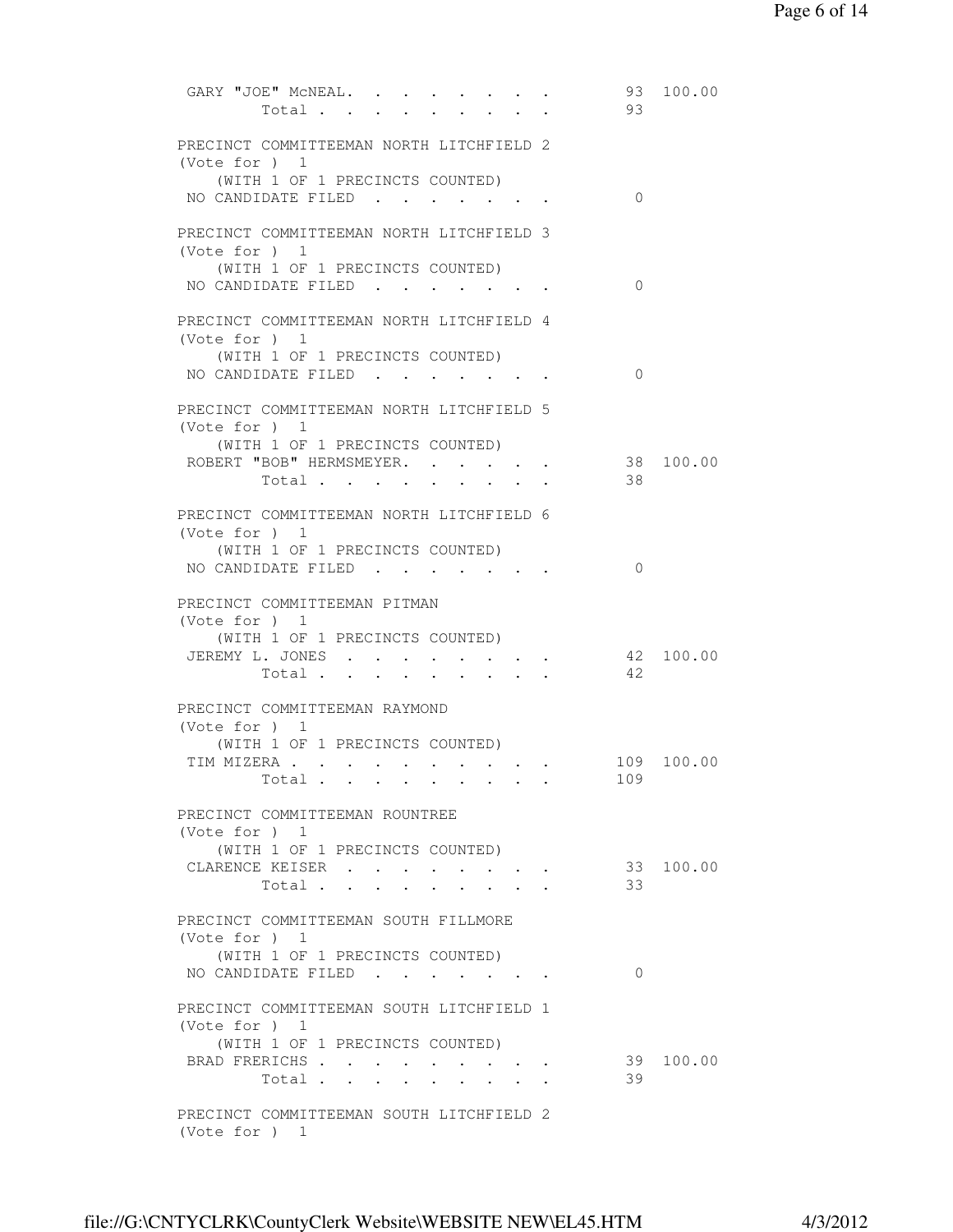```
GARY "JOE" MCNEAL. . . . . . . . 93 100.00
      Total . . . . . . . . . 93
 PRECINCT COMMITTEEMAN NORTH LITCHFIELD 2 
 (Vote for ) 1 
    (WITH 1 OF 1 PRECINCTS COUNTED) 
NO CANDIDATE FILED . . . . . . . 0
 PRECINCT COMMITTEEMAN NORTH LITCHFIELD 3 
 (Vote for ) 1 
    (WITH 1 OF 1 PRECINCTS COUNTED) 
NO CANDIDATE FILED . . . . . . . 0
 PRECINCT COMMITTEEMAN NORTH LITCHFIELD 4 
 (Vote for ) 1 
    (WITH 1 OF 1 PRECINCTS COUNTED) 
NO CANDIDATE FILED . . . . . . . 0
 PRECINCT COMMITTEEMAN NORTH LITCHFIELD 5 
 (Vote for ) 1 
    (WITH 1 OF 1 PRECINCTS COUNTED) 
ROBERT "BOB" HERMSMEYER. . . . . . 38 100.00
       Total . . . . . . . . . 38
 PRECINCT COMMITTEEMAN NORTH LITCHFIELD 6 
 (Vote for ) 1 
    (WITH 1 OF 1 PRECINCTS COUNTED) 
NO CANDIDATE FILED . . . . . . . 0
 PRECINCT COMMITTEEMAN PITMAN 
 (Vote for ) 1 
   (WITH 1 OF 1 PRECINCTS COUNTED) 
JEREMY L. JONES . . . . . . . . 42 100.00
       Total . . . . . . . . . . 42 PRECINCT COMMITTEEMAN RAYMOND 
 (Vote for ) 1 
    (WITH 1 OF 1 PRECINCTS COUNTED) 
TIM MIZERA . . . . . . . . . . . 109 100.00
       Total . . . . . . . . . 109
 PRECINCT COMMITTEEMAN ROUNTREE 
 (Vote for ) 1 
    (WITH 1 OF 1 PRECINCTS COUNTED) 
CLARENCE KEISER . . . . . . . . 33 100.00
       Total . . . . . . . . . 33
 PRECINCT COMMITTEEMAN SOUTH FILLMORE 
 (Vote for ) 1 
   (WITH 1 OF 1 PRECINCTS COUNTED) 
NO CANDIDATE FILED . . . . . . . 0
 PRECINCT COMMITTEEMAN SOUTH LITCHFIELD 1 
 (Vote for ) 1 
    (WITH 1 OF 1 PRECINCTS COUNTED) 
BRAD FRERICHS . . . . . . . . . 39 100.00
       Total . . . . . . . . . 39
 PRECINCT COMMITTEEMAN SOUTH LITCHFIELD 2 
 (Vote for ) 1
```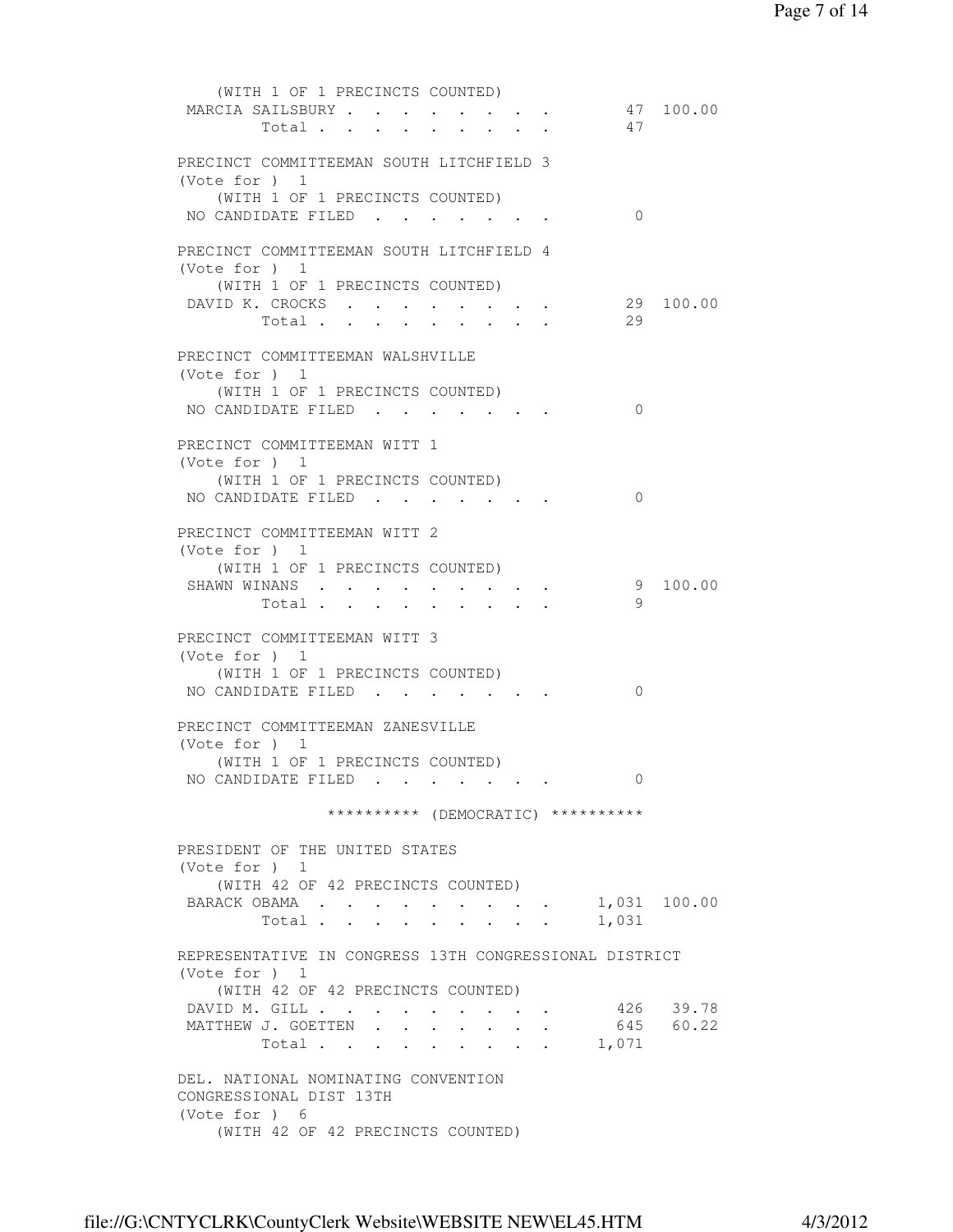|                 | (WITH 1 OF 1 PRECINCTS COUNTED)                        |                      |                                                             |              |           |
|-----------------|--------------------------------------------------------|----------------------|-------------------------------------------------------------|--------------|-----------|
|                 | MARCIA SAILSBURY                                       |                      | $\mathbf{r} = \mathbf{r} + \mathbf{r} + \mathbf{r}$ .       |              | 47 100.00 |
|                 | Total                                                  |                      |                                                             | 47           |           |
|                 |                                                        |                      |                                                             |              |           |
|                 | PRECINCT COMMITTEEMAN SOUTH LITCHFIELD 3               |                      |                                                             |              |           |
| (Vote for $)$ 1 |                                                        |                      |                                                             |              |           |
|                 | (WITH 1 OF 1 PRECINCTS COUNTED)                        |                      |                                                             |              |           |
|                 | NO CANDIDATE FILED.                                    |                      |                                                             | $\Omega$     |           |
|                 |                                                        |                      |                                                             |              |           |
| (Vote for ) 1   | PRECINCT COMMITTEEMAN SOUTH LITCHFIELD 4               |                      |                                                             |              |           |
|                 |                                                        |                      |                                                             |              |           |
|                 | (WITH 1 OF 1 PRECINCTS COUNTED)<br>DAVID K. CROCKS     |                      |                                                             | 29           | 100.00    |
|                 | Total                                                  |                      |                                                             | 29           |           |
|                 |                                                        |                      |                                                             |              |           |
|                 | PRECINCT COMMITTEEMAN WALSHVILLE                       |                      |                                                             |              |           |
| (Vote for $)$ 1 |                                                        |                      |                                                             |              |           |
|                 | (WITH 1 OF 1 PRECINCTS COUNTED)                        |                      |                                                             |              |           |
|                 | NO CANDIDATE FILED                                     |                      |                                                             | 0            |           |
|                 |                                                        |                      |                                                             |              |           |
|                 | PRECINCT COMMITTEEMAN WITT 1                           |                      |                                                             |              |           |
| (Vote for $)$ 1 |                                                        |                      |                                                             |              |           |
|                 | (WITH 1 OF 1 PRECINCTS COUNTED)                        |                      |                                                             |              |           |
|                 | NO CANDIDATE FILED                                     |                      |                                                             | $\Omega$     |           |
|                 |                                                        |                      |                                                             |              |           |
|                 | PRECINCT COMMITTEEMAN WITT 2                           |                      |                                                             |              |           |
| (Vote for $)$ 1 |                                                        |                      |                                                             |              |           |
|                 | (WITH 1 OF 1 PRECINCTS COUNTED)                        |                      |                                                             |              |           |
|                 | SHAWN WINANS                                           |                      |                                                             | 9            | 100.00    |
|                 | Total                                                  |                      |                                                             | 9            |           |
|                 | PRECINCT COMMITTEEMAN WITT 3                           |                      |                                                             |              |           |
| (Vote for $)$ 1 |                                                        |                      |                                                             |              |           |
|                 | (WITH 1 OF 1 PRECINCTS COUNTED)                        |                      |                                                             |              |           |
|                 | NO CANDIDATE FILED                                     |                      |                                                             | 0            |           |
|                 |                                                        |                      |                                                             |              |           |
|                 | PRECINCT COMMITTEEMAN ZANESVILLE                       |                      |                                                             |              |           |
| (Vote for $)$ 1 |                                                        |                      |                                                             |              |           |
|                 | (WITH 1 OF 1 PRECINCTS COUNTED)                        |                      |                                                             |              |           |
|                 | NO CANDIDATE FILED                                     |                      |                                                             | U            |           |
|                 |                                                        |                      |                                                             |              |           |
|                 | ********** (DEMOCRATIC) **********                     |                      |                                                             |              |           |
|                 |                                                        |                      |                                                             |              |           |
|                 | PRESIDENT OF THE UNITED STATES                         |                      |                                                             |              |           |
| (Note for ) 1   |                                                        |                      |                                                             |              |           |
|                 | (WITH 42 OF 42 PRECINCTS COUNTED)                      |                      |                                                             |              |           |
|                 | BARACK OBAMA                                           |                      |                                                             | 1,031 100.00 |           |
|                 | Total                                                  |                      |                                                             | 1,031        |           |
|                 |                                                        |                      |                                                             |              |           |
| (Note for ) 1   | REPRESENTATIVE IN CONGRESS 13TH CONGRESSIONAL DISTRICT |                      |                                                             |              |           |
|                 | (WITH 42 OF 42 PRECINCTS COUNTED)                      |                      |                                                             |              |           |
|                 | DAVID M. GILL                                          |                      | $\mathcal{L}(\mathcal{A})$ , and $\mathcal{L}(\mathcal{A})$ |              | 426 39.78 |
|                 | MATTHEW J. GOETTEN                                     | $\ddot{\phantom{0}}$ | $\ddot{\phantom{0}}$                                        |              | 645 60.22 |
|                 | Total<br><b>Service Contracts</b>                      |                      | $\sim$                                                      | 1,071        |           |
|                 |                                                        |                      |                                                             |              |           |
|                 | DEL. NATIONAL NOMINATING CONVENTION                    |                      |                                                             |              |           |
|                 | CONGRESSIONAL DIST 13TH                                |                      |                                                             |              |           |
| (Vote for ) $6$ |                                                        |                      |                                                             |              |           |
|                 | (WITH 42 OF 42 PRECINCTS COUNTED)                      |                      |                                                             |              |           |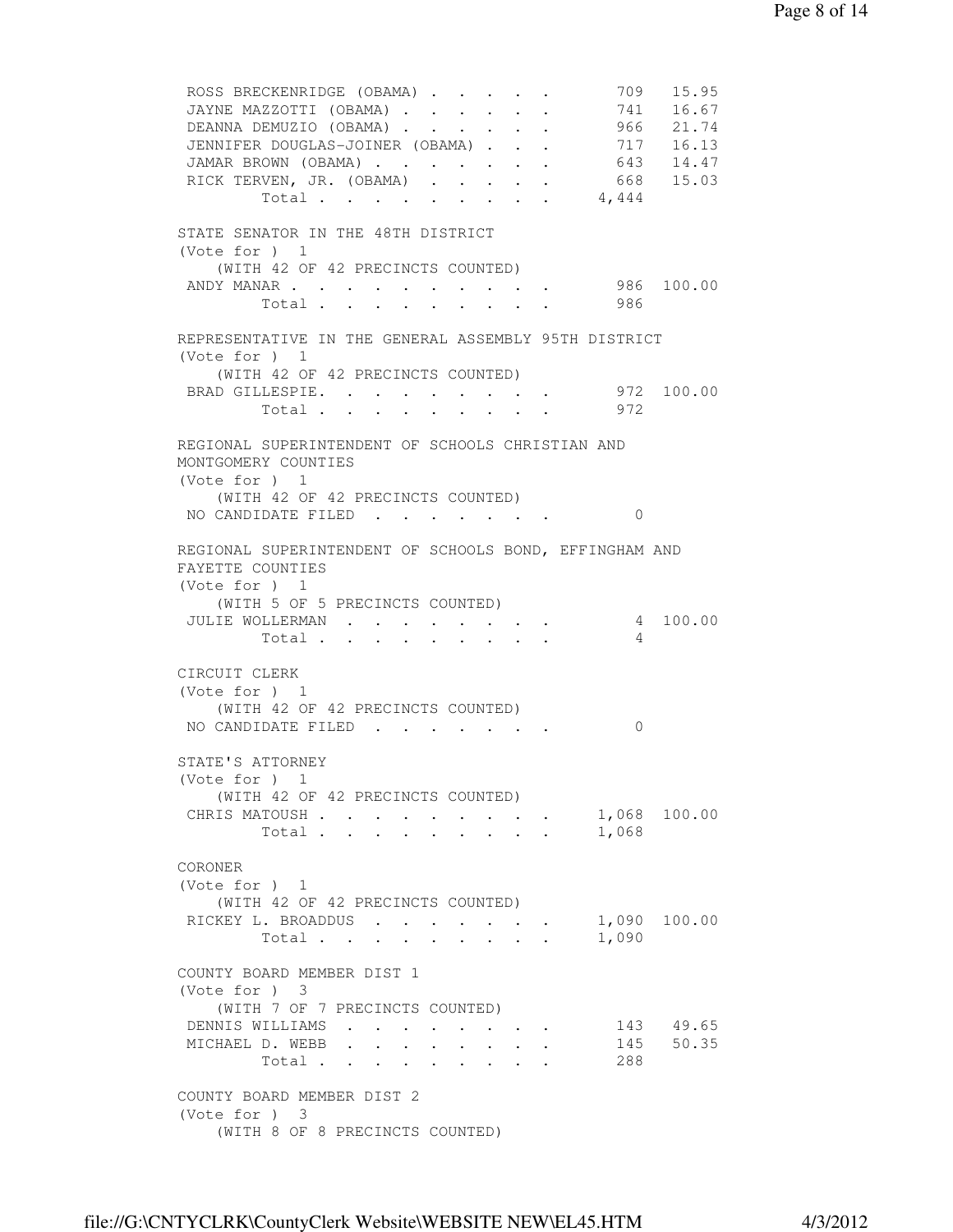ROSS BRECKENRIDGE (OBAMA) . . . . . 709 15.95 JAYNE MAZZOTTI (OBAMA) . . . . . . 741 16.67 DEANNA DEMUZIO (OBAMA) . . . . . . 966 21.74 JENNIFER DOUGLAS-JOINER (OBAMA) . . . 717 16.13 JAMAR BROWN (OBAMA) . . . . . . . 643 14.47 RICK TERVEN, JR. (OBAMA) . . . . . 668 15.03 Total . . . . . . . . . 4,444 STATE SENATOR IN THE 48TH DISTRICT (Vote for ) 1 (WITH 42 OF 42 PRECINCTS COUNTED) ANDY MANAR . . . . . . . . . . . 986 100.00 Total . . . . . . . . 986 REPRESENTATIVE IN THE GENERAL ASSEMBLY 95TH DISTRICT (Vote for ) 1 (WITH 42 OF 42 PRECINCTS COUNTED) BRAD GILLESPIE. . . . . . . . . 972 100.00 Total . . . . . . . . . 972 REGIONAL SUPERINTENDENT OF SCHOOLS CHRISTIAN AND MONTGOMERY COUNTIES (Vote for ) 1 (WITH 42 OF 42 PRECINCTS COUNTED) NO CANDIDATE FILED . . . . . . . 0 REGIONAL SUPERINTENDENT OF SCHOOLS BOND, EFFINGHAM AND FAYETTE COUNTIES (Vote for ) 1 (WITH 5 OF 5 PRECINCTS COUNTED) JULIE WOLLERMAN . . . . . . . . 4 100.00 Total  $\cdots$  . . . . . . . 4 CIRCUIT CLERK (Vote for ) 1 (WITH 42 OF 42 PRECINCTS COUNTED) NO CANDIDATE FILED . . . . . . . 0 STATE'S ATTORNEY (Vote for ) 1 (WITH 42 OF 42 PRECINCTS COUNTED) CHRIS MATOUSH . . . . . . . . . 1,068 100.00 Total . . . . . . . . . 1,068 CORONER (Vote for ) 1 (WITH 42 OF 42 PRECINCTS COUNTED) RICKEY L. BROADDUS . . . . . . . 1,090 100.00 Total . . . . . . . . . 1,090 COUNTY BOARD MEMBER DIST 1 (Vote for ) 3 (WITH 7 OF 7 PRECINCTS COUNTED) DENNIS WILLIAMS . . . . . . . . 143 49.65 MICHAEL D. WEBB . . . . . . . . 145 50.35 Total . . . . . . . . . 288 COUNTY BOARD MEMBER DIST 2 (Vote for ) 3 (WITH 8 OF 8 PRECINCTS COUNTED)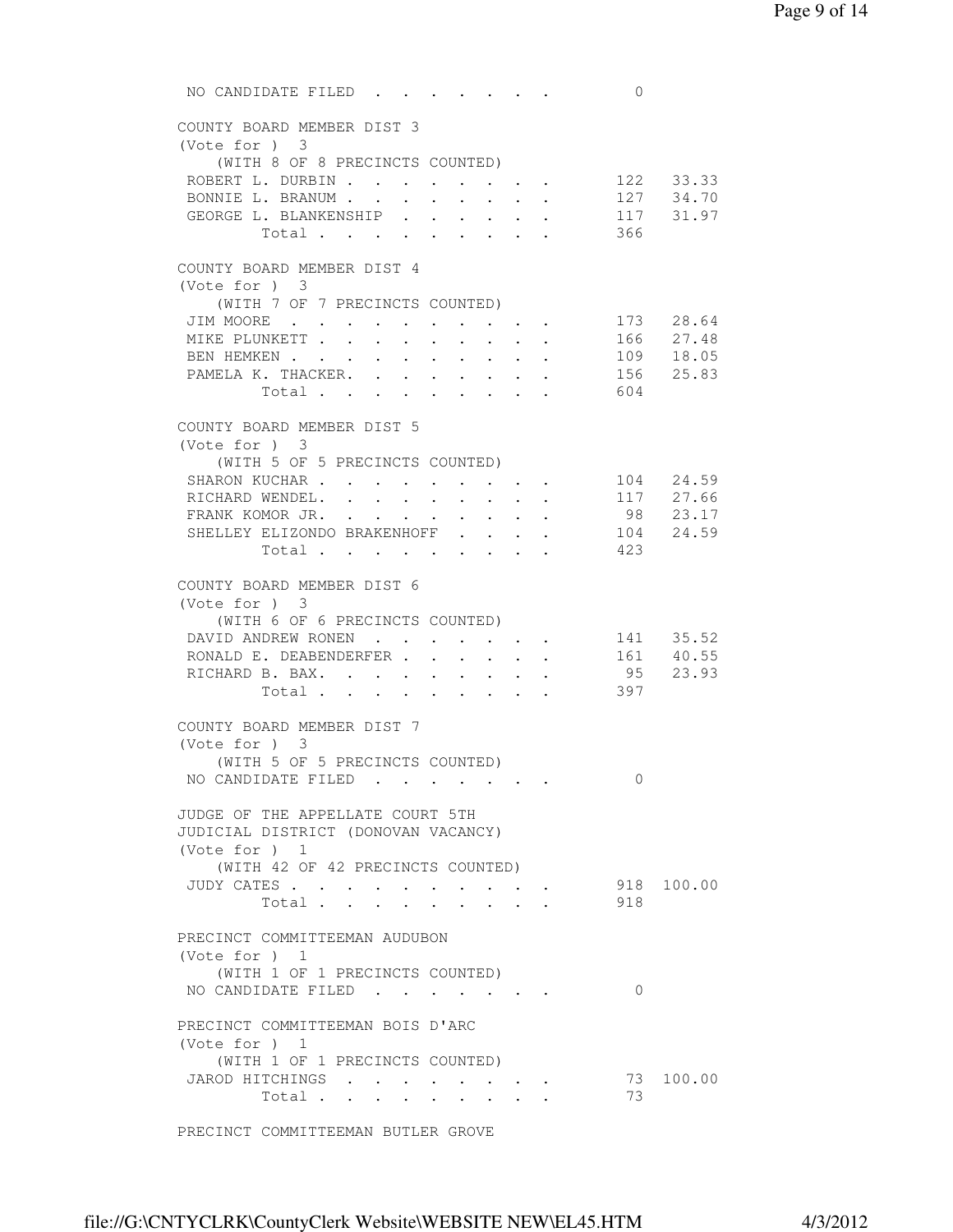NO CANDIDATE FILED . . . . . . . 0 COUNTY BOARD MEMBER DIST 3 (Vote for ) 3 (WITH 8 OF 8 PRECINCTS COUNTED) ROBERT L. DURBIN . . . . . . . . 122 33.33 BONNIE L. BRANUM . . . . . . . . 127 34.70 BONNIE L. BRANUM . . . . . . . . . 127 34.70<br>GEORGE L. BLANKENSHIP . . . . . . 117 31.97 Total . . . . . . . . . 366 COUNTY BOARD MEMBER DIST 4 (Vote for ) 3 (WITH 7 OF 7 PRECINCTS COUNTED) JIM MOORE . . . . . . . . . . 173 28.64 MIKE PLUNKETT . . . . . . . . . . 166 27.48 BEN HEMKEN . . . . . . . . . . 109 18.05 PAMELA K. THACKER. . . . . . . . 156 25.83 Total . . . . . . . . . 604 COUNTY BOARD MEMBER DIST 5 (Vote for ) 3 (WITH 5 OF 5 PRECINCTS COUNTED) SHARON KUCHAR . . . . . . . . . . 104 24.59<br>RICHARD WENDEL. . . . . . . . . 117 27.66 RICHARD WENDEL. . . . . . . . . 117 27.66<br>
FRANK KOMOR JR. . . . . . . . . 98 23.17<br>
SHELLEY ELIZONDO BRAKENHOFF . . . . 104 24.59<br>
423 FRANK KOMOR JR. . . . . . . . . SHELLEY ELIZONDO BRAKENHOFF . . . . Total  $\cdots$  . . . . . . . COUNTY BOARD MEMBER DIST 6 (Vote for ) 3 (WITH 6 OF 6 PRECINCTS COUNTED) DAVID ANDREW RONEN . . . . . . . 141 35.52 RONALD E. DEABENDERFER . . . . . . 161 40.55 RICHARD B. BAX. . . . . . . . . 95 23.93 Total . . . . . . . . . 397 COUNTY BOARD MEMBER DIST 7 (Vote for ) 3 (WITH 5 OF 5 PRECINCTS COUNTED) NO CANDIDATE FILED . . . . . . . 0 JUDGE OF THE APPELLATE COURT 5TH JUDICIAL DISTRICT (DONOVAN VACANCY) (Vote for ) 1 (WITH 42 OF 42 PRECINCTS COUNTED) JUDY CATES . . . . . . . . . . 918 100.00 . . . . . . . . . . . . . 918 PRECINCT COMMITTEEMAN AUDUBON (Vote for ) 1 (WITH 1 OF 1 PRECINCTS COUNTED) NO CANDIDATE FILED . . . . . . . 0 PRECINCT COMMITTEEMAN BOIS D'ARC (Vote for ) 1 (WITH 1 OF 1 PRECINCTS COUNTED) JAROD HITCHINGS . . . . . . . . 73 100.00 Total . . . . . . . . . 73

PRECINCT COMMITTEEMAN BUTLER GROVE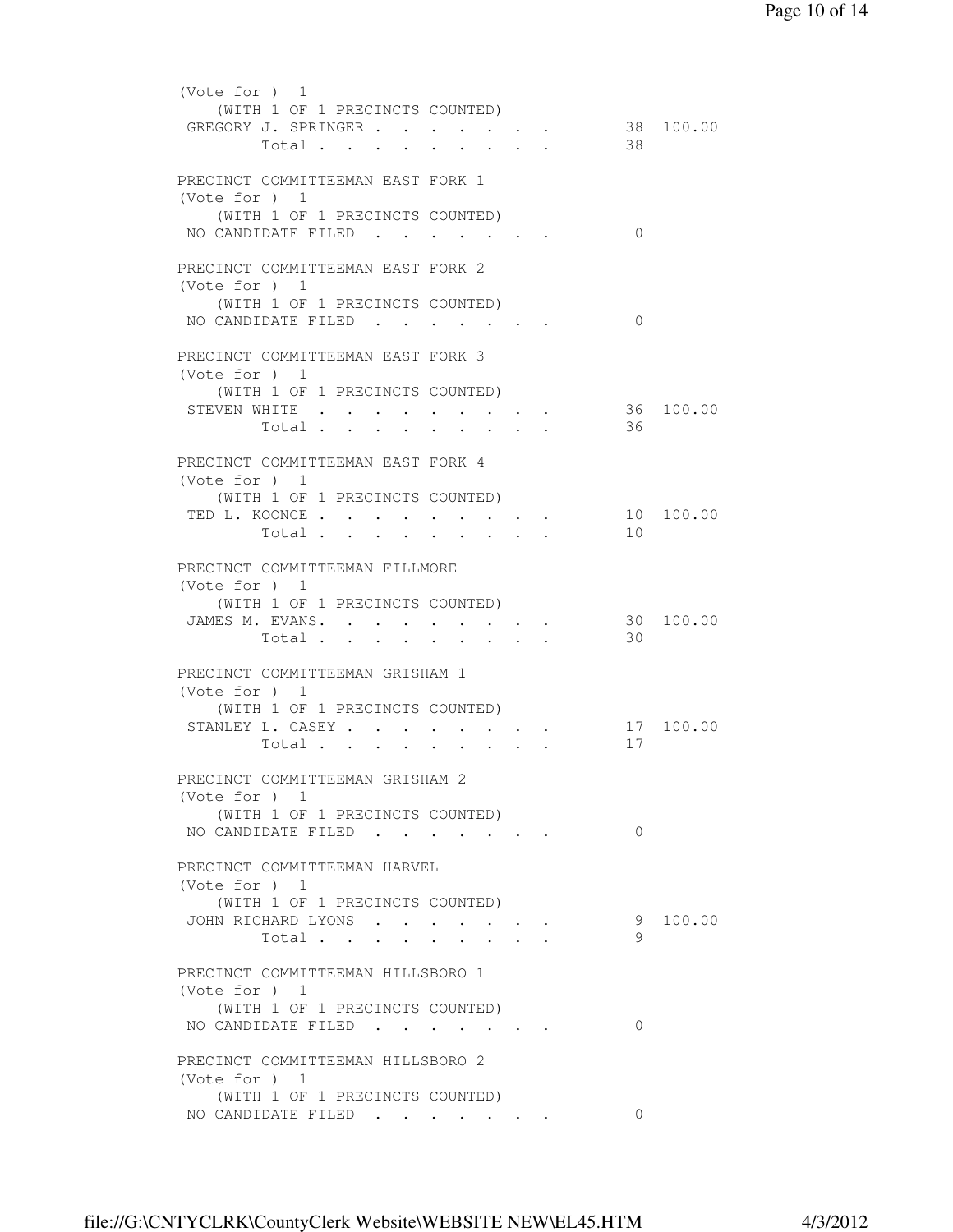| (Vote for $)$ 1<br>(WITH 1 OF 1 PRECINCTS COUNTED)<br>GREGORY J. SPRINGER<br>Total      |        |               |                                 |               | 38       | 38 100.00 |
|-----------------------------------------------------------------------------------------|--------|---------------|---------------------------------|---------------|----------|-----------|
| PRECINCT COMMITTEEMAN EAST FORK 1<br>(Vote for $)$ 1<br>(WITH 1 OF 1 PRECINCTS COUNTED) |        |               |                                 |               |          |           |
| NO CANDIDATE FILED.<br>PRECINCT COMMITTEEMAN EAST FORK 2                                |        |               | $\cdot$ $\cdot$ $\cdot$ $\cdot$ |               | $\Omega$ |           |
| (Vote for $)$ 1<br>(WITH 1 OF 1 PRECINCTS COUNTED)<br>NO CANDIDATE FILED                |        |               |                                 |               | $\Omega$ |           |
| PRECINCT COMMITTEEMAN EAST FORK 3<br>(Vote for $)$ 1                                    |        |               |                                 |               |          |           |
| (WITH 1 OF 1 PRECINCTS COUNTED)<br>STEVEN WHITE<br>Total                                | $\sim$ | $\sim$ $\sim$ |                                 | $\sim$ $\sim$ | 36       | 36 100.00 |
| PRECINCT COMMITTEEMAN EAST FORK 4<br>(Note for ) 1<br>(WITH 1 OF 1 PRECINCTS COUNTED)   |        |               |                                 |               |          |           |
| TED L. KOONCE<br>Total .                                                                |        |               |                                 |               | 10       | 10 100.00 |
| PRECINCT COMMITTEEMAN FILLMORE<br>(Vote for ) 1<br>(WITH 1 OF 1 PRECINCTS COUNTED)      |        |               |                                 |               |          |           |
| JAMES M. EVANS.<br>Total                                                                |        |               |                                 |               | 30<br>30 | 100.00    |
| PRECINCT COMMITTEEMAN GRISHAM 1<br>(Vote for ) 1<br>(WITH 1 OF 1 PRECINCTS COUNTED)     |        |               |                                 |               |          |           |
| STANLEY L. CASEY<br>Total                                                               |        | $\sim$        |                                 |               | 17       | 17 100.00 |
| PRECINCT COMMITTEEMAN GRISHAM 2<br>(Vote for $)$ 1<br>(WITH 1 OF 1 PRECINCTS COUNTED)   |        |               |                                 |               |          |           |
| NO CANDIDATE FILED<br>PRECINCT COMMITTEEMAN HARVEL                                      |        |               |                                 |               | $\Omega$ |           |
| (Vote for $)$ 1<br>(WITH 1 OF 1 PRECINCTS COUNTED)<br>JOHN RICHARD LYONS                |        |               |                                 |               | 9        | 100.00    |
| Total<br>PRECINCT COMMITTEEMAN HILLSBORO 1                                              |        |               |                                 |               | 9        |           |
| (Vote for $)$ 1<br>(WITH 1 OF 1 PRECINCTS COUNTED)<br>NO CANDIDATE FILED.               |        |               |                                 |               | $\Omega$ |           |
| PRECINCT COMMITTEEMAN HILLSBORO 2<br>(Vote for $)$ 1                                    |        |               |                                 |               |          |           |
| (WITH 1 OF 1 PRECINCTS COUNTED)<br>NO CANDIDATE FILED                                   |        |               |                                 |               | $\Omega$ |           |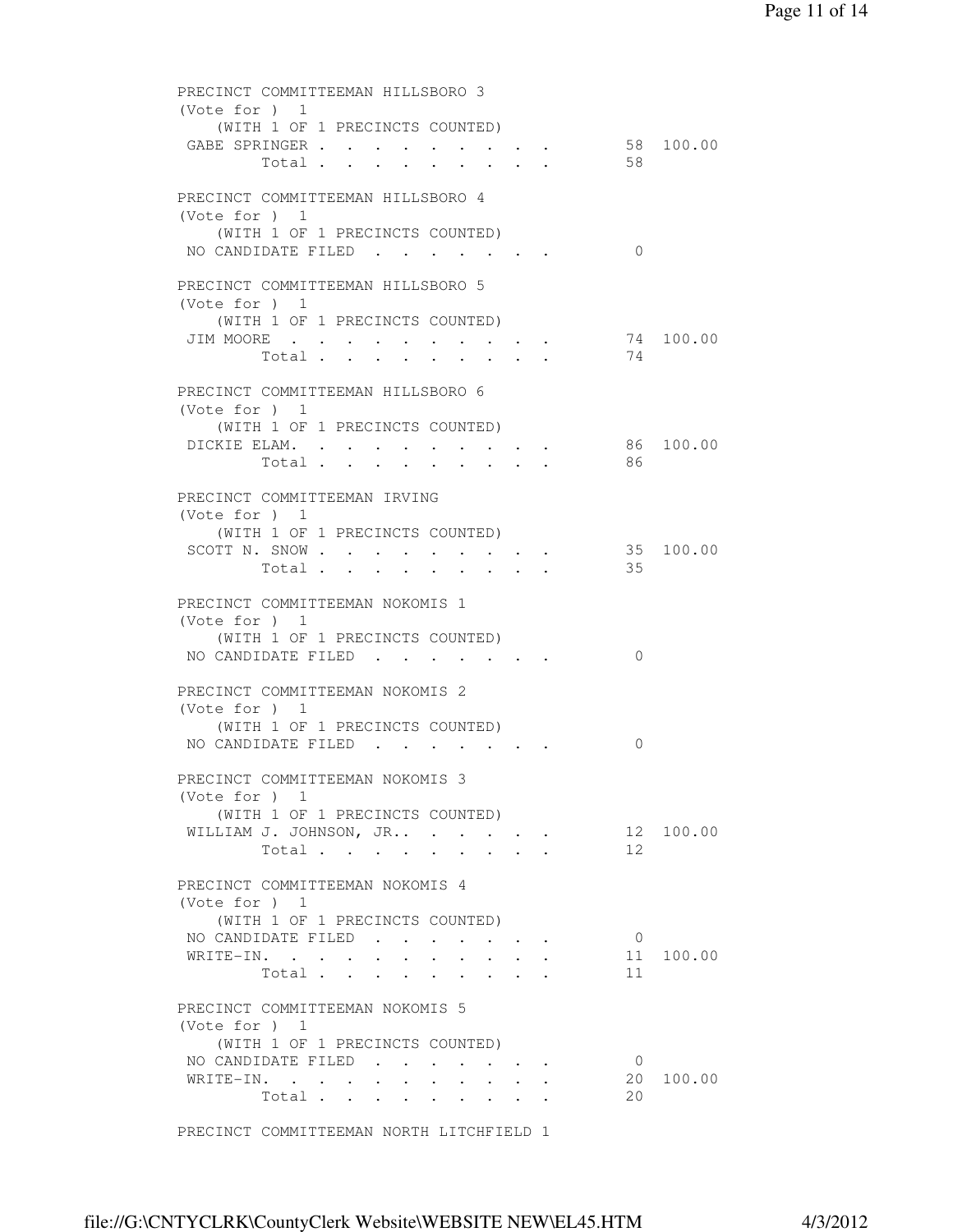| PRECINCT COMMITTEEMAN HILLSBORO 3<br>(Vote for $)$ 1                                                                    |           |
|-------------------------------------------------------------------------------------------------------------------------|-----------|
| (WITH 1 OF 1 PRECINCTS COUNTED)<br>GABE SPRINGER<br>58 100.00<br>58<br>Total                                            |           |
| PRECINCT COMMITTEEMAN HILLSBORO 4                                                                                       |           |
| (Vote for $)$ 1<br>(WITH 1 OF 1 PRECINCTS COUNTED)<br>NO CANDIDATE FILED<br>$\Omega$<br>$\cdot$ $\cdot$ $\cdot$ $\cdot$ |           |
| PRECINCT COMMITTEEMAN HILLSBORO 5                                                                                       |           |
| (Vote for $)$ 1<br>(WITH 1 OF 1 PRECINCTS COUNTED)                                                                      |           |
| JIM MOORE<br>74 100.00<br>74<br>Total $\cdot$                                                                           |           |
| PRECINCT COMMITTEEMAN HILLSBORO 6                                                                                       |           |
| (Vote for $)$ 1<br>(WITH 1 OF 1 PRECINCTS COUNTED)                                                                      |           |
| DICKIE ELAM.<br>86 100.00                                                                                               |           |
| Total.<br>- 86                                                                                                          |           |
| PRECINCT COMMITTEEMAN IRVING<br>(Vote for $)$ 1                                                                         |           |
| (WITH 1 OF 1 PRECINCTS COUNTED)<br>SCOTT N. SNOW                                                                        | 35 100.00 |
| 35<br>Total<br>$\bullet$ .<br><br><br><br><br><br><br><br><br><br><br><br>                                              |           |
| PRECINCT COMMITTEEMAN NOKOMIS 1<br>(Vote for $)$ 1                                                                      |           |
| (WITH 1 OF 1 PRECINCTS COUNTED)<br>NO CANDIDATE FILED<br>$\Omega$                                                       |           |
| PRECINCT COMMITTEEMAN NOKOMIS 2<br>(Vote for ) 1                                                                        |           |
| (WITH 1 OF 1 PRECINCTS COUNTED)                                                                                         |           |
| NO CANDIDATE FILED<br>0                                                                                                 |           |
| PRECINCT COMMITTEEMAN NOKOMIS 3<br>(Vote for $)$ 1                                                                      |           |
| (WITH 1 OF 1 PRECINCTS COUNTED)<br>WILLIAM J. JOHNSON, JR                                                               | 12 100.00 |
| 12 <sup>°</sup><br>Total                                                                                                |           |
| PRECINCT COMMITTEEMAN NOKOMIS 4<br>(Vote for $)$ 1                                                                      |           |
| (WITH 1 OF 1 PRECINCTS COUNTED)<br>NO CANDIDATE FILED<br>$\overline{0}$                                                 |           |
| WRITE-IN.                                                                                                               | 11 100.00 |
| 11<br>Total                                                                                                             |           |
| PRECINCT COMMITTEEMAN NOKOMIS 5<br>(Vote for $)$ 1                                                                      |           |
| (WITH 1 OF 1 PRECINCTS COUNTED)                                                                                         |           |
| NO CANDIDATE FILED.<br>$\overline{0}$<br>WRITE-IN.                                                                      | 20 100.00 |
| 20<br>Total                                                                                                             |           |
| PRECINCT COMMITTEEMAN NORTH LITCHFIELD 1                                                                                |           |
|                                                                                                                         |           |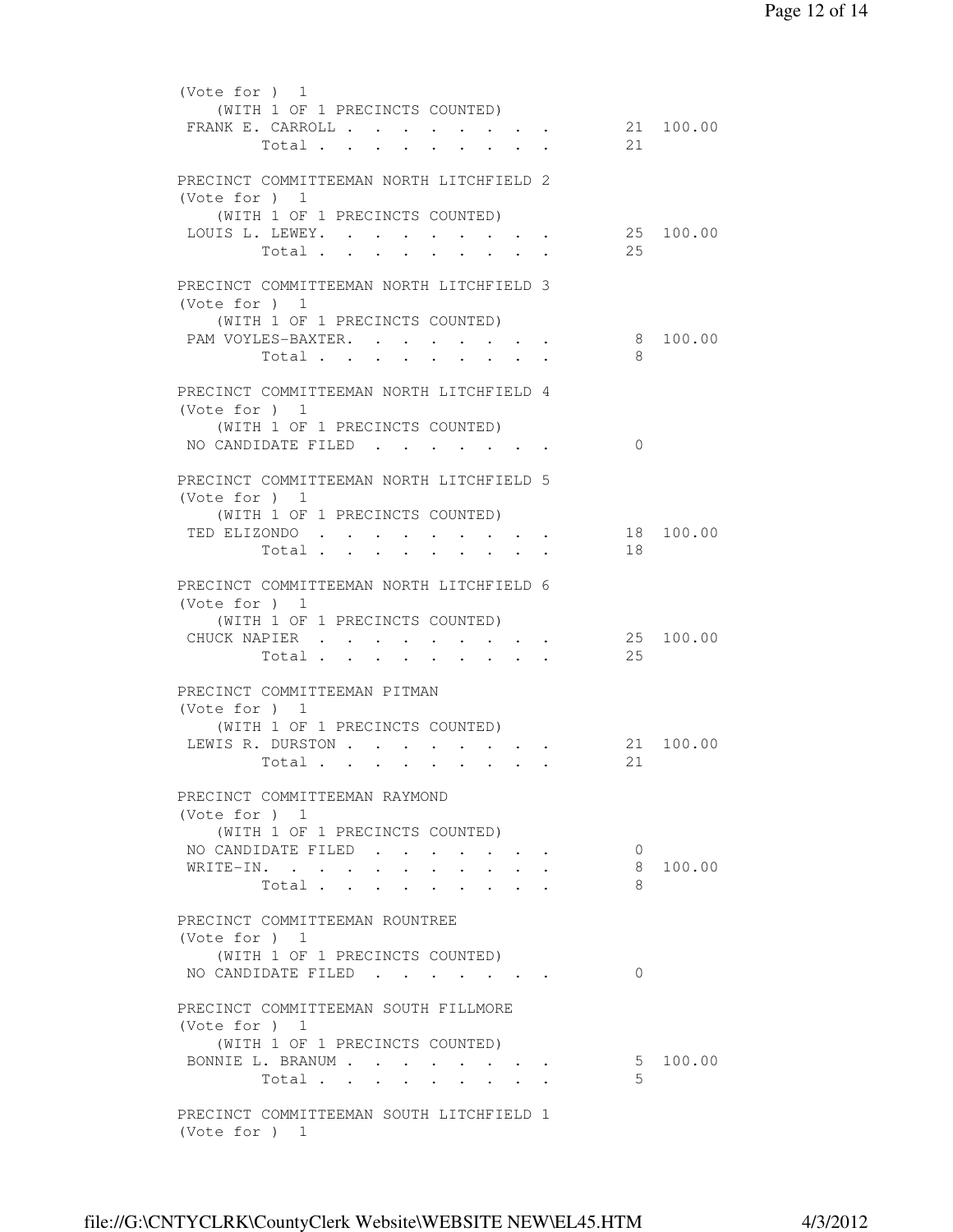```
 (Vote for ) 1 
             (WITH 1 OF 1 PRECINCTS COUNTED) 
         FRANK E. CARROLL . . . . . . . . . 21 100.00<br>Total . . . . . . . . . 21
                Total . . . . . . . . . 21
          PRECINCT COMMITTEEMAN NORTH LITCHFIELD 2 
          (Vote for ) 1 
             (WITH 1 OF 1 PRECINCTS COUNTED) 
         LOUIS L. LEWEY. . . . . . . . . . 25 100.00<br>Total
                Total . . . . . . . . .
          PRECINCT COMMITTEEMAN NORTH LITCHFIELD 3 
          (Vote for ) 1 
             (WITH 1 OF 1 PRECINCTS COUNTED) 
         PAM VOYLES-BAXTER. . . . . . . . 8 100.00
                Total . . . . . . . . . 8
         PRECINCT COMMITTEEMAN NORTH LITCHFIELD 4 
          (Vote for ) 1 
             (WITH 1 OF 1 PRECINCTS COUNTED) 
         NO CANDIDATE FILED . . . . . . . 0
          PRECINCT COMMITTEEMAN NORTH LITCHFIELD 5 
          (Vote for ) 1 
             (WITH 1 OF 1 PRECINCTS COUNTED) 
         TED ELIZONDO . . . . . . . . . . . 18 100.00<br>Total
                Total . . . . . . . . . 18
         PRECINCT COMMITTEEMAN NORTH LITCHFIELD 6 
          (Vote for ) 1 
             (WITH 1 OF 1 PRECINCTS COUNTED) 
         CHUCK NAPIER . . . . . . . . . . . 25 100.00<br>Total . . . . . . . . . . . 25
                Total . . . . . . . . .
         PRECINCT COMMITTEEMAN PITMAN 
          (Vote for ) 1 
             (WITH 1 OF 1 PRECINCTS COUNTED) 
         1999) LEWIS R. DURSTON . . . . . . . . . . 21 100.00
                 Total . . . . . . . . .
          PRECINCT COMMITTEEMAN RAYMOND 
          (Vote for ) 1 
             (WITH 1 OF 1 PRECINCTS COUNTED) 
         NO CANDIDATE FILED . . . . . . 0
 WRITE-IN. . . . . . . . . . . 8 100.00 
\text{Total} \quad . \quad . \quad . \quad . \quad . \quad . \quad . \qquad 8 PRECINCT COMMITTEEMAN ROUNTREE 
          (Vote for ) 1 
            (WITH 1 OF 1 PRECINCTS COUNTED) 
         NO CANDIDATE FILED . . . . . . . 0
         PRECINCT COMMITTEEMAN SOUTH FILLMORE 
          (Vote for ) 1 
             (WITH 1 OF 1 PRECINCTS COUNTED) 
         BONNIE L. BRANUM . . . . . . . . 5 100.00
                Total . . . . . . . . . 5
         PRECINCT COMMITTEEMAN SOUTH LITCHFIELD 1 
          (Vote for ) 1
```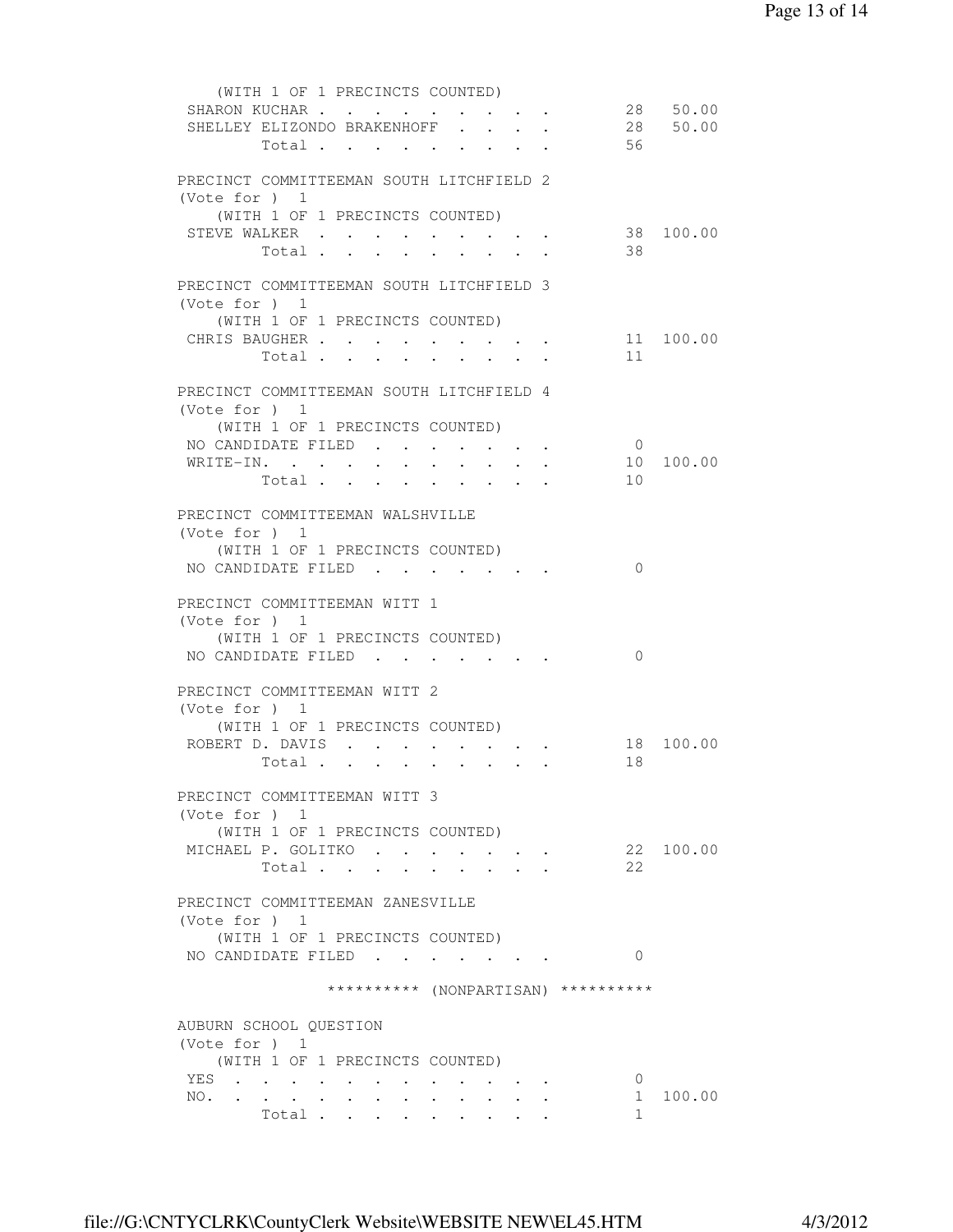| (WITH 1 OF 1 PRECINCTS COUNTED)                                             |                                          |                |           |
|-----------------------------------------------------------------------------|------------------------------------------|----------------|-----------|
| SHARON KUCHAR                                                               |                                          |                | 28 50.00  |
| SHELLEY ELIZONDO BRAKENHOFF                                                 |                                          |                | 28 50.00  |
| Total                                                                       |                                          | 56             |           |
|                                                                             |                                          |                |           |
| PRECINCT COMMITTEEMAN SOUTH LITCHFIELD 2                                    |                                          |                |           |
| (Vote for ) 1                                                               |                                          |                |           |
| (WITH 1 OF 1 PRECINCTS COUNTED)                                             |                                          |                |           |
| STEVE WALKER                                                                |                                          |                | 38 100.00 |
| Total<br>$\ddot{\phantom{0}}$<br>$\cdot$ $\cdot$ $\cdot$<br>$\cdot$ $\cdot$ | $\sim$                                   | 38             |           |
|                                                                             |                                          |                |           |
| PRECINCT COMMITTEEMAN SOUTH LITCHFIELD 3                                    |                                          |                |           |
|                                                                             |                                          |                |           |
| (Vote for $)$ 1                                                             |                                          |                |           |
| (WITH 1 OF 1 PRECINCTS COUNTED)                                             |                                          |                |           |
| CHRIS BAUGHER                                                               |                                          |                | 11 100.00 |
| Total                                                                       |                                          | 11             |           |
|                                                                             |                                          |                |           |
| PRECINCT COMMITTEEMAN SOUTH LITCHFIELD 4                                    |                                          |                |           |
| (Vote for ) $1$                                                             |                                          |                |           |
| (WITH 1 OF 1 PRECINCTS COUNTED)                                             |                                          |                |           |
| NO CANDIDATE FILED                                                          |                                          | $\overline{0}$ |           |
| WRITE-IN.                                                                   |                                          |                | 10 100.00 |
| Total                                                                       |                                          | 10             |           |
|                                                                             |                                          |                |           |
| PRECINCT COMMITTEEMAN WALSHVILLE                                            |                                          |                |           |
| (Vote for $)$ 1                                                             |                                          |                |           |
| (WITH 1 OF 1 PRECINCTS COUNTED)                                             |                                          |                |           |
| NO CANDIDATE FILED                                                          |                                          | $\Omega$       |           |
|                                                                             |                                          |                |           |
| PRECINCT COMMITTEEMAN WITT 1                                                |                                          |                |           |
| (Vote for $)$ 1                                                             |                                          |                |           |
| (WITH 1 OF 1 PRECINCTS COUNTED)                                             |                                          |                |           |
| NO CANDIDATE FILED                                                          |                                          | $\Omega$       |           |
|                                                                             |                                          |                |           |
| PRECINCT COMMITTEEMAN WITT 2                                                |                                          |                |           |
| (Vote for ) $1$                                                             |                                          |                |           |
| (WITH 1 OF 1 PRECINCTS COUNTED)                                             |                                          |                |           |
| ROBERT D. DAVIS                                                             |                                          | 18             | 100.00    |
| Total                                                                       |                                          | 18             |           |
|                                                                             |                                          |                |           |
| PRECINCT COMMITTEEMAN WITT 3                                                |                                          |                |           |
|                                                                             |                                          |                |           |
| (Vote for $)$ 1                                                             |                                          |                |           |
| (WITH 1 OF 1 PRECINCTS COUNTED)                                             |                                          |                |           |
| MICHAEL P. GOLITKO                                                          | $\bullet$ . In the case of the $\bullet$ |                | 22 100.00 |
| Total                                                                       |                                          | 2.2.           |           |
|                                                                             |                                          |                |           |
| PRECINCT COMMITTEEMAN ZANESVILLE                                            |                                          |                |           |
| (Vote for $)$ 1                                                             |                                          |                |           |
| (WITH 1 OF 1 PRECINCTS COUNTED)                                             |                                          |                |           |
| NO CANDIDATE FILED                                                          |                                          | $\Omega$       |           |
|                                                                             |                                          |                |           |
| ********** (NONPARTISAN) **********                                         |                                          |                |           |
|                                                                             |                                          |                |           |
| AUBURN SCHOOL QUESTION                                                      |                                          |                |           |
| (Vote for $)$ 1                                                             |                                          |                |           |
| (WITH 1 OF 1 PRECINCTS COUNTED)                                             |                                          |                |           |
| YES                                                                         |                                          | $\circ$        |           |
| NO.                                                                         |                                          |                | 1 100.00  |
| Total                                                                       |                                          | $\mathbf{1}$   |           |